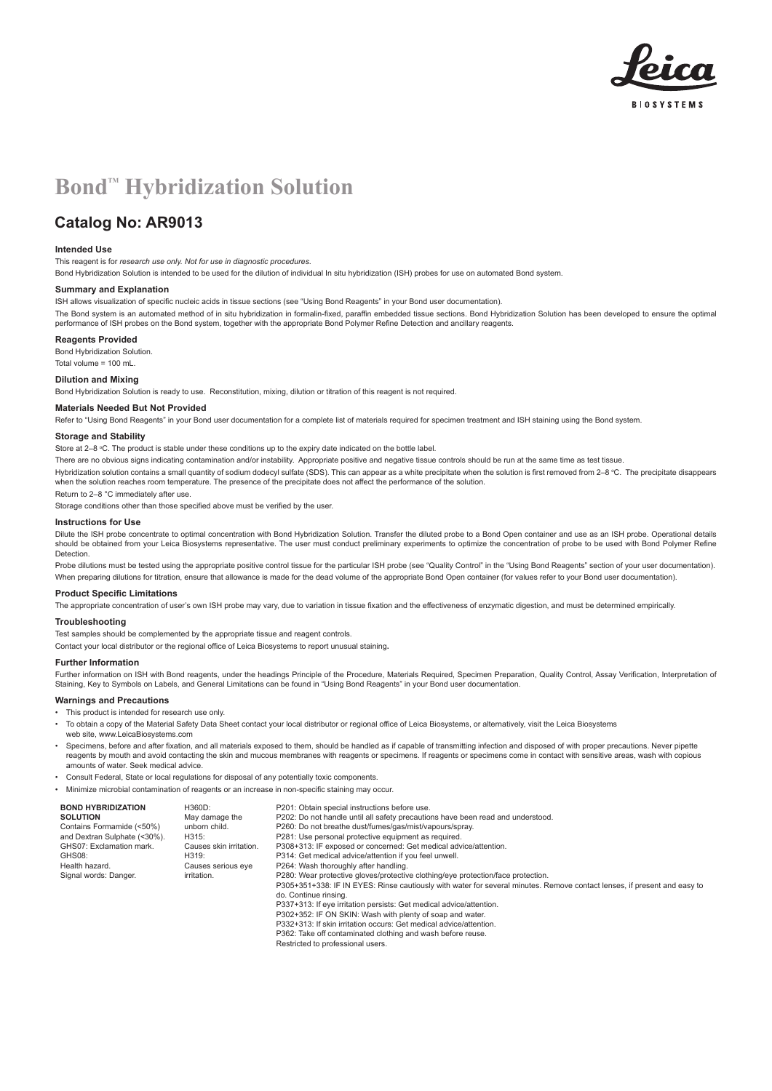

# **Bond<sup>™</sup> Hybridization Solution**

## **Catalog No: AR9013**

#### **Intended Use**

This reagent is for *research use only. Not for use in diagnostic procedures*.

Bond Hybridization Solution is intended to be used for the dilution of individual In situ hybridization (ISH) probes for use on automated Bond system.

#### **Summary and Explanation**

ISH allows visualization of specific nucleic acids in tissue sections (see "Using Bond Reagents" in your Bond user documentation).

The Bond system is an automated method of in situ hybridization in formalin-fixed, paraffin embedded tissue sections. Bond Hybridization Solution has been developed to ensure the optimal performance of ISH probes on the Bond system, together with the appropriate Bond Polymer Refine Detection and ancillary reagents.

#### **Reagents Provided**

Bond Hybridization Solution. Total volume = 100 mL.

### **Dilution and Mixing**

Bond Hybridization Solution is ready to use. Reconstitution, mixing, dilution or titration of this reagent is not required.

#### **Materials Needed But Not Provided**

Refer to "Using Bond Reagents" in your Bond user documentation for a complete list of materials required for specimen treatment and ISH staining using the Bond system.

#### **Storage and Stability**

Store at 2–8 °C. The product is stable under these conditions up to the expiry date indicated on the bottle label.

There are no obvious signs indicating contamination and/or instability. Appropriate positive and negative tissue controls should be run at the same time as test tissue.

Hybridization solution contains a small quantity of sodium dodecyl sulfate (SDS). This can appear as a white precipitate when the solution is first removed from 2–8 ℃. The precipitate disappears when the solution reaches room temperature. The presence of the precipitate does not affect the performance of the solution.

Return to 2–8 °C immediately after use.

Storage conditions other than those specified above must be verified by the user.

#### **Instructions for Use**

Dilute the ISH probe concentrate to optimal concentration with Bond Hybridization Solution. Transfer the diluted probe to a Bond Open container and use as an ISH probe. Operational details should be obtained from your Leica Biosystems representative. The user must conduct preliminary experiments to optimize the concentration of probe to be used with Bond Polymer Refine **Detection** 

Probe dilutions must be tested using the appropriate positive control tissue for the particular ISH probe (see "Quality Control" in the "Using Bond Reagents" section of your user documentation). When preparing dilutions for titration, ensure that allowance is made for the dead volume of the appropriate Bond Open container (for values refer to your Bond user documentation).

#### **Product Specific Limitations**

The appropriate concentration of user's own ISH probe may vary, due to variation in tissue fixation and the effectiveness of enzymatic digestion, and must be determined empirically.

#### **Troubleshooting**

Test samples should be complemented by the appropriate tissue and reagent controls. Contact your local distributor or the regional office of Leica Biosystems to report unusual staining**.**

#### **Further Information**

Further information on ISH with Bond reagents, under the headings Principle of the Procedure, Materials Required, Specimen Preparation, Quality Control, Assay Verification, Interpretation of Staining, Key to Symbols on Labels, and General Limitations can be found in "Using Bond Reagents" in your Bond user documentation.

#### **Warnings and Precautions**

- This product is intended for research use only.
- To obtain a copy of the Material Safety Data Sheet contact your local distributor or regional office of Leica Biosystems, or alternatively, visit the Leica Biosystems web site, www.LeicaBiosystems.com
- Specimens, before and after fixation, and all materials exposed to them, should be handled as if capable of transmitting infection and disposed of with proper precautions. Never pipette reagents by mouth and avoid contacting the skin and mucous membranes with reagents or specimens. If reagents or specimens come in contact with sensitive areas, wash with copious amounts of water. Seek medical advice.
- Consult Federal, State or local regulations for disposal of any potentially toxic components. • Minimize microbial contamination of reagents or an increase in non-specific staining may occur.

| <b>BOND HYBRIDIZATION</b>    | H360D:                  | P201: Obtain special instructions before use.                                                                            |
|------------------------------|-------------------------|--------------------------------------------------------------------------------------------------------------------------|
| <b>SOLUTION</b>              | May damage the          | P202: Do not handle until all safety precautions have been read and understood.                                          |
| Contains Formamide (<50%)    | unborn child.           | P260: Do not breathe dust/fumes/gas/mist/vapours/spray.                                                                  |
| and Dextran Sulphate (<30%). | H315:                   | P281: Use personal protective equipment as required.                                                                     |
| GHS07: Exclamation mark.     | Causes skin irritation. | P308+313: IF exposed or concerned: Get medical advice/attention.                                                         |
| GHS08:                       | H319:                   | P314: Get medical advice/attention if you feel unwell.                                                                   |
| Health hazard.               | Causes serious eye      | P264: Wash thoroughly after handling.                                                                                    |
| Signal words: Danger.        | irritation.             | P280: Wear protective gloves/protective clothing/eye protection/face protection.                                         |
|                              |                         | P305+351+338: IF IN EYES: Rinse cautiously with water for several minutes. Remove contact lenses, if present and easy to |
|                              |                         | do. Continue rinsing.                                                                                                    |
|                              |                         | P337+313: If eye irritation persists: Get medical advice/attention.                                                      |
|                              |                         | P302+352: IF ON SKIN: Wash with plenty of soap and water.                                                                |
|                              |                         | P332+313: If skin irritation occurs: Get medical advice/attention.                                                       |
|                              |                         | P362: Take off contaminated clothing and wash before reuse.                                                              |
|                              |                         | Restricted to professional users.                                                                                        |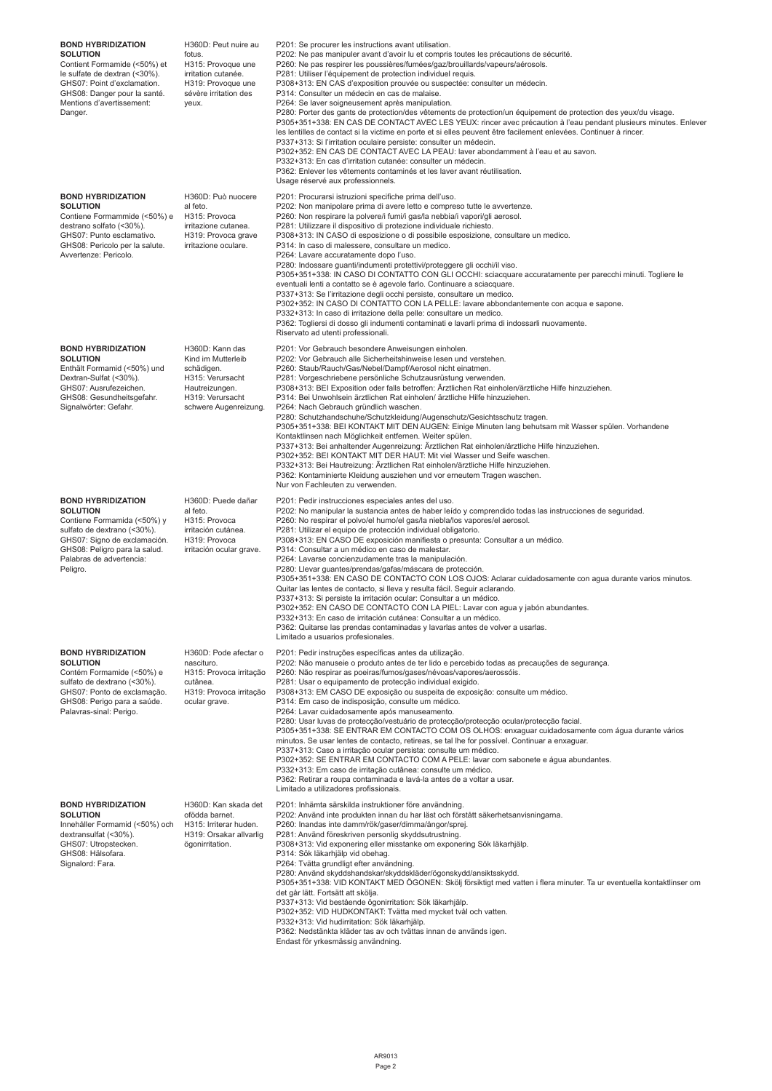| <b>BOND HYBRIDIZATION</b><br><b>SOLUTION</b><br>Contient Formamide (<50%) et<br>le sulfate de dextran (<30%).<br>GHS07: Point d'exclamation.<br>GHS08: Danger pour la santé.<br>Mentions d'avertissement:<br>Danger. | H360D: Peut nuire au<br>fotus.<br>H315: Provoque une<br>irritation cutanée.<br>H319: Provoque une<br>sévère irritation des<br>yeux.    | P201: Se procurer les instructions avant utilisation.<br>P202: Ne pas manipuler avant d'avoir lu et compris toutes les précautions de sécurité.<br>P260: Ne pas respirer les poussières/fumées/gaz/brouillards/vapeurs/aérosols.<br>P281: Utiliser l'équipement de protection individuel requis.<br>P308+313: EN CAS d'exposition prouvée ou suspectée: consulter un médecin.<br>P314: Consulter un médecin en cas de malaise.<br>P264: Se laver soigneusement après manipulation.<br>P280: Porter des gants de protection/des vêtements de protection/un équipement de protection des yeux/du visage.<br>P305+351+338: EN CAS DE CONTACT AVEC LES YEUX: rincer avec précaution à l'eau pendant plusieurs minutes. Enlever<br>les lentilles de contact si la victime en porte et si elles peuvent être facilement enlevées. Continuer à rincer.<br>P337+313: Si l'irritation oculaire persiste: consulter un médecin.<br>P302+352: EN CAS DE CONTACT AVEC LA PEAU: laver abondamment à l'eau et au savon.<br>P332+313: En cas d'irritation cutanée: consulter un médecin.<br>P362: Enlever les vêtements contaminés et les laver avant réutilisation.<br>Usage réservé aux professionnels. |
|----------------------------------------------------------------------------------------------------------------------------------------------------------------------------------------------------------------------|----------------------------------------------------------------------------------------------------------------------------------------|--------------------------------------------------------------------------------------------------------------------------------------------------------------------------------------------------------------------------------------------------------------------------------------------------------------------------------------------------------------------------------------------------------------------------------------------------------------------------------------------------------------------------------------------------------------------------------------------------------------------------------------------------------------------------------------------------------------------------------------------------------------------------------------------------------------------------------------------------------------------------------------------------------------------------------------------------------------------------------------------------------------------------------------------------------------------------------------------------------------------------------------------------------------------------------------------|
| <b>BOND HYBRIDIZATION</b><br><b>SOLUTION</b><br>Contiene Formammide (<50%) e<br>destrano solfato (<30%).<br>GHS07: Punto esclamativo.<br>GHS08: Pericolo per la salute.<br>Avvertenze: Pericolo.                     | H360D: Può nuocere<br>al feto.<br>H315: Provoca<br>irritazione cutanea.<br>H319: Provoca grave<br>irritazione oculare.                 | P201: Procurarsi istruzioni specifiche prima dell'uso.<br>P202: Non manipolare prima di avere letto e compreso tutte le avvertenze.<br>P260: Non respirare la polvere/i fumi/i gas/la nebbia/i vapori/gli aerosol.<br>P281: Utilizzare il dispositivo di protezione individuale richiesto.<br>P308+313: IN CASO di esposizione o di possibile esposizione, consultare un medico.<br>P314: In caso di malessere, consultare un medico.<br>P264: Lavare accuratamente dopo l'uso.<br>P280: Indossare guanti/indumenti protettivi/proteggere gli occhi/il viso.<br>P305+351+338: IN CASO DI CONTATTO CON GLI OCCHI: sciacquare accuratamente per parecchi minuti. Togliere le<br>eventuali lenti a contatto se è agevole farlo. Continuare a sciacquare.<br>P337+313: Se l'irritazione degli occhi persiste, consultare un medico.<br>P302+352: IN CASO DI CONTATTO CON LA PELLE: lavare abbondantemente con acqua e sapone.<br>P332+313: In caso di irritazione della pelle: consultare un medico.<br>P362: Togliersi di dosso gli indumenti contaminati e lavarli prima di indossarli nuovamente.<br>Riservato ad utenti professionali.                                                     |
| <b>BOND HYBRIDIZATION</b><br><b>SOLUTION</b><br>Enthält Formamid (<50%) und<br>Dextran-Sulfat (<30%).<br>GHS07: Ausrufezeichen.<br>GHS08: Gesundheitsgefahr.<br>Signalwörter: Gefahr.                                | H360D: Kann das<br>Kind im Mutterleib<br>schädigen.<br>H315: Verursacht<br>Hautreizungen.<br>H319: Verursacht<br>schwere Augenreizung. | P201: Vor Gebrauch besondere Anweisungen einholen.<br>P202: Vor Gebrauch alle Sicherheitshinweise lesen und verstehen.<br>P260: Staub/Rauch/Gas/Nebel/Dampf/Aerosol nicht einatmen.<br>P281: Vorgeschriebene persönliche Schutzausrüstung verwenden.<br>P308+313: BEI Exposition oder falls betroffen: Ärztlichen Rat einholen/ärztliche Hilfe hinzuziehen.<br>P314: Bei Unwohlsein ärztlichen Rat einholen/ ärztliche Hilfe hinzuziehen.<br>P264: Nach Gebrauch gründlich waschen.<br>P280: Schutzhandschuhe/Schutzkleidung/Augenschutz/Gesichtsschutz tragen.<br>P305+351+338: BEI KONTAKT MIT DEN AUGEN: Einige Minuten lang behutsam mit Wasser spülen. Vorhandene<br>Kontaktlinsen nach Möglichkeit entfernen. Weiter spülen.<br>P337+313: Bei anhaltender Augenreizung: Ärztlichen Rat einholen/ärztliche Hilfe hinzuziehen.<br>P302+352: BEI KONTAKT MIT DER HAUT: Mit viel Wasser und Seife waschen.<br>P332+313: Bei Hautreizung: Ärztlichen Rat einholen/ärztliche Hilfe hinzuziehen.<br>P362: Kontaminierte Kleidung ausziehen und vor erneutem Tragen waschen.<br>Nur von Fachleuten zu verwenden.                                                                             |
| <b>BOND HYBRIDIZATION</b><br><b>SOLUTION</b><br>Contiene Formamida (<50%) y<br>sulfato de dextrano (<30%).<br>GHS07: Signo de exclamación.<br>GHS08: Peligro para la salud.<br>Palabras de advertencia:<br>Peligro.  | H360D: Puede dañar<br>al feto.<br>H315: Provoca<br>irritación cutánea.<br>H319: Provoca<br>irritación ocular grave.                    | P201: Pedir instrucciones especiales antes del uso.<br>P202: No manipular la sustancia antes de haber leído y comprendido todas las instrucciones de seguridad.<br>P260: No respirar el polvo/el humo/el gas/la niebla/los vapores/el aerosol.<br>P281: Utilizar el equipo de protección individual obligatorio.<br>P308+313: EN CASO DE exposición manifiesta o presunta: Consultar a un médico.<br>P314: Consultar a un médico en caso de malestar.<br>P264: Lavarse concienzudamente tras la manipulación.<br>P280: Llevar guantes/prendas/gafas/máscara de protección.<br>P305+351+338: EN CASO DE CONTACTO CON LOS OJOS: Aclarar cuidadosamente con agua durante varios minutos.<br>Quitar las lentes de contacto, si lleva y resulta fácil. Seguir aclarando.<br>P337+313: Si persiste la irritación ocular: Consultar a un médico.<br>P302+352: EN CASO DE CONTACTO CON LA PIEL: Lavar con agua y jabón abundantes.<br>P332+313: En caso de irritación cutánea: Consultar a un médico.<br>P362: Quitarse las prendas contaminadas y lavarlas antes de volver a usarlas.<br>Limitado a usuarios profesionales.                                                                       |
| <b>BOND HYBRIDIZATION</b><br><b>SOLUTION</b><br>Contém Formamide (<50%) e<br>sulfato de dextrano (<30%).<br>GHS07: Ponto de exclamação.<br>GHS08: Perigo para a saúde.<br>Palavras-sinal: Perigo.                    | H360D: Pode afectar o<br>nascituro.<br>H315: Provoca irritação<br>cutânea.<br>H319: Provoca irritação<br>ocular grave.                 | P201: Pedir instruções específicas antes da utilização.<br>P202: Não manuseie o produto antes de ter lido e percebido todas as precauções de segurança.<br>P260: Não respirar as poeiras/fumos/gases/névoas/vapores/aerossóis.<br>P281: Usar o equipamento de protecção individual exigido.<br>P308+313: EM CASO DE exposição ou suspeita de exposição: consulte um médico.<br>P314: Em caso de indisposição, consulte um médico.<br>P264: Lavar cuidadosamente após manuseamento.<br>P280: Usar luvas de protecção/vestuário de protecção/protecção ocular/protecção facial.<br>P305+351+338: SE ENTRAR EM CONTACTO COM OS OLHOS: enxaguar cuidadosamente com água durante vários<br>minutos. Se usar lentes de contacto, retireas, se tal lhe for possível. Continuar a enxaguar.<br>P337+313: Caso a irritação ocular persista: consulte um médico.<br>P302+352: SE ENTRAR EM CONTACTO COM A PELE: lavar com sabonete e água abundantes.<br>P332+313: Em caso de irritação cutânea: consulte um médico.<br>P362: Retirar a roupa contaminada e lavá-la antes de a voltar a usar.<br>Limitado a utilizadores profissionais.                                                              |
| <b>BOND HYBRIDIZATION</b><br><b>SOLUTION</b><br>Innehåller Formamid (<50%) och<br>dextransulfat (<30%).<br>GHS07: Utropstecken.<br>GHS08: Hälsofara.<br>Signalord: Fara.                                             | H360D: Kan skada det<br>ofödda barnet.<br>H315: Irriterar huden.<br>H319: Orsakar allvarlig<br>ögonirritation.                         | P201: Inhämta särskilda instruktioner före användning.<br>P202: Använd inte produkten innan du har läst och förstått säkerhetsanvisningarna.<br>P260: Inandas inte damm/rök/gaser/dimma/ångor/sprej.<br>P281: Använd föreskriven personlig skyddsutrustning.<br>P308+313: Vid exponering eller misstanke om exponering Sök läkarhjälp.<br>P314: Sök läkarhjälp vid obehag.<br>P264: Tvätta grundligt efter användning.<br>P280: Använd skyddshandskar/skyddskläder/ögonskydd/ansiktsskydd.<br>P305+351+338: VID KONTAKT MED ÖGONEN: Skölj försiktigt med vatten i flera minuter. Ta ur eventuella kontaktlinser om<br>det går lätt. Fortsätt att skölja.<br>P337+313: Vid bestående ögonirritation: Sök läkarhjälp.<br>P302+352: VID HUDKONTAKT: Tvätta med mycket tvål och vatten.<br>P332+313: Vid hudirritation: Sök läkarhjälp.<br>P362: Nedstänkta kläder tas av och tvättas innan de används igen.<br>Endast för yrkesmässig användning.                                                                                                                                                                                                                                             |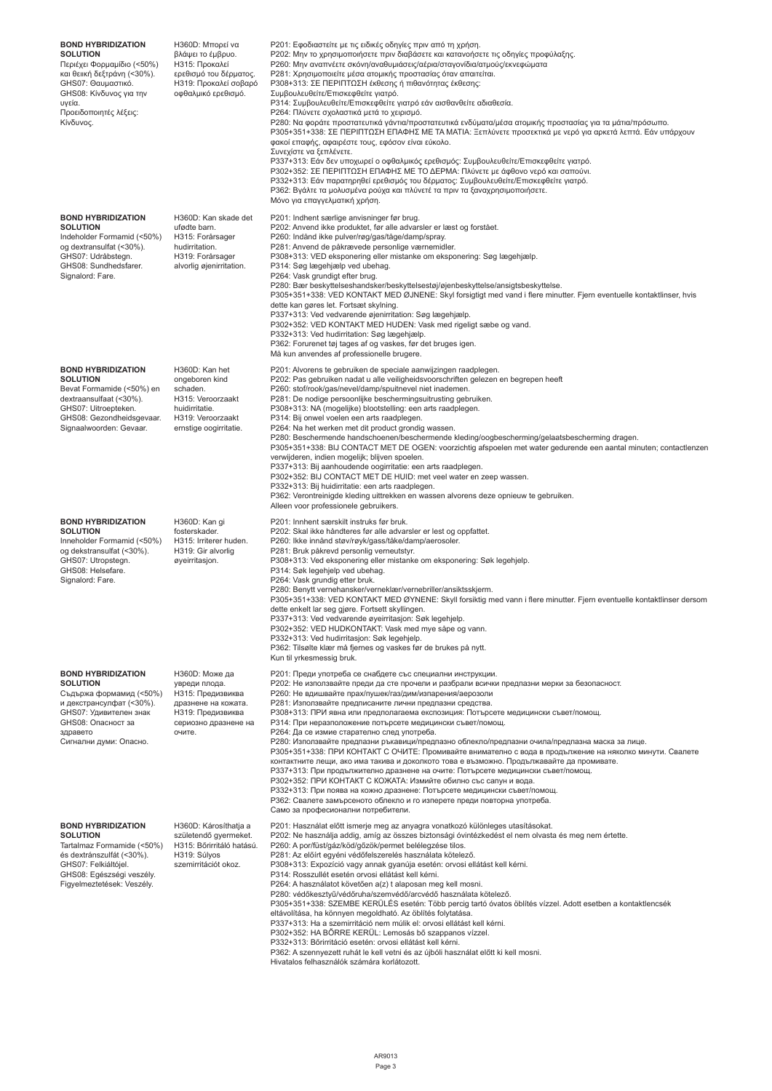| <b>BOND HYBRIDIZATION</b><br><b>SOLUTION</b><br>Περιέχει Φορμαμίδιο (<50%)<br>και θειική δεξτράνη (<30%).<br>GHS07: Θαυμαστικό.<br>GHS08: Κίνδυνος για την<br>υγεία.<br>Προειδοποιητές λέξεις:<br>Κίνδυνος. | Η360D: Μπορεί να<br>βλάψει το έμβρυο.<br>Η315: Προκαλεί<br>ερεθισμό του δέρματος.<br>Η319: Προκαλεί σοβαρό<br>οφθαλμικό ερεθισμό.  | Ρ201: Εφοδιαστείτε με τις ειδικές οδηγίες πριν από τη χρήση.<br>Ρ202: Μην το χρησιμοποιήσετε πριν διαβάσετε και κατανοήσετε τις οδηγίες προφύλαξης.<br>Ρ260: Μην αναπνέετε σκόνη/αναθυμιάσεις/αέρια/σταγονίδια/ατμούς/εκνεφώματα<br>Ρ281: Χρησιμοποιείτε μέσα ατομικής προστασίας όταν απαιτείται.<br>Ρ308+313: ΣΕ ΠΕΡΙΠΤΩΣΗ έκθεσης ή πιθανότητας έκθεσης:<br>Συμβουλευθείτε/Επισκεφθείτε γιατρό.<br>Ρ314: Συμβουλευθείτε/Επισκεφθείτε γιατρό εάν αισθανθείτε αδιαθεσία.<br>Ρ264: Πλύνετε σχολαστικά μετά το χειρισμό.<br>P280: Να φοράτε προστατευτικά γάντια/προστατευτικά ενδύματα/μέσα ατομικής προστασίας για τα μάτια/πρόσωπο.<br>Ρ305+351+338: ΣΕ ΠΕΡΙΠΤΩΣΗ ΕΠΑΦΗΣ ΜΕ ΤΑ ΜΑΤΙΑ: Ξεπλύνετε προσεκτικά με νερό για αρκετά λεπτά. Εάν υπάρχουν<br>φακοί επαφής, αφαιρέστε τους, εφόσον είναι εύκολο.<br>Συνεχίστε να ξεπλένετε.<br>Ρ337+313: Εάν δεν υποχωρεί ο οφθαλμικός ερεθισμός: Συμβουλευθείτε/Επισκεφθείτε γιατρό.<br>Ρ302+352: ΣΕ ΠΕΡΙΠΤΩΣΗ ΕΠΑΦΗΣ ΜΕ ΤΟ ΔΕΡΜΑ: Πλύνετε με άφθονο νερό και σαπούνι.<br>Ρ332+313: Εάν παρατηρηθεί ερεθισμός του δέρματος: Συμβουλευθείτε/Επισκεφθείτε γιατρό.<br>Ρ362: Βγάλτε τα μολυσμένα ρούχα και πλύνετέ τα πριν τα ξαναχρησιμοποιήσετε.<br>Μόνο για επαγγελματική χρήση. |
|-------------------------------------------------------------------------------------------------------------------------------------------------------------------------------------------------------------|------------------------------------------------------------------------------------------------------------------------------------|---------------------------------------------------------------------------------------------------------------------------------------------------------------------------------------------------------------------------------------------------------------------------------------------------------------------------------------------------------------------------------------------------------------------------------------------------------------------------------------------------------------------------------------------------------------------------------------------------------------------------------------------------------------------------------------------------------------------------------------------------------------------------------------------------------------------------------------------------------------------------------------------------------------------------------------------------------------------------------------------------------------------------------------------------------------------------------------------------------------------------------------------------------------------------------------------------------------------------|
| <b>BOND HYBRIDIZATION</b><br><b>SOLUTION</b><br>Indeholder Formamid (<50%)<br>og dextransulfat (<30%).<br>GHS07: Udråbstegn.<br>GHS08: Sundhedsfarer.<br>Signalord: Fare.                                   | H360D: Kan skade det<br>ufødte barn.<br>H315: Forårsager<br>hudirritation.<br>H319: Forårsager<br>alvorlig øjenirritation.         | P201: Indhent særlige anvisninger før brug.<br>P202: Anvend ikke produktet, før alle advarsler er læst og forstået.<br>P260: Indånd ikke pulver/røg/gas/tåge/damp/spray.<br>P281: Anvend de påkrævede personlige værnemidler.<br>P308+313: VED eksponering eller mistanke om eksponering: Søg lægehjælp.<br>P314: Søg lægehjælp ved ubehag.<br>P264: Vask grundigt efter brug.<br>P280: Bær beskyttelseshandsker/beskyttelsestøj/øjenbeskyttelse/ansigtsbeskyttelse.<br>P305+351+338: VED KONTAKT MED ØJNENE: Skyl forsigtigt med vand i flere minutter. Fjern eventuelle kontaktlinser, hvis<br>dette kan gøres let. Fortsæt skylning.<br>P337+313: Ved vedvarende øjenirritation: Søg lægehjælp.<br>P302+352: VED KONTAKT MED HUDEN: Vask med rigeligt sæbe og vand.<br>P332+313: Ved hudirritation: Søg lægehjælp.<br>P362: Forurenet tøj tages af og vaskes, før det bruges igen.<br>Må kun anvendes af professionelle brugere.                                                                                                                                                                                                                                                                                       |
| <b>BOND HYBRIDIZATION</b><br><b>SOLUTION</b><br>Bevat Formamide (<50%) en<br>dextraansulfaat (<30%).<br>GHS07: Uitroepteken.<br>GHS08: Gezondheidsgevaar.<br>Signaalwoorden: Gevaar.                        | H360D: Kan het<br>ongeboren kind<br>schaden.<br>H315: Veroorzaakt<br>huidirritatie.<br>H319: Veroorzaakt<br>ernstige oogirritatie. | P201: Alvorens te gebruiken de speciale aanwijzingen raadplegen.<br>P202: Pas gebruiken nadat u alle veiligheidsvoorschriften gelezen en begrepen heeft<br>P260: stof/rook/gas/nevel/damp/spuitnevel niet inademen.<br>P281: De nodige persoonlijke beschermingsuitrusting gebruiken.<br>P308+313: NA (mogelijke) blootstelling: een arts raadplegen.<br>P314: Bij onwel voelen een arts raadplegen.<br>P264: Na het werken met dit product grondig wassen.<br>P280: Beschermende handschoenen/beschermende kleding/oogbescherming/gelaatsbescherming dragen.<br>P305+351+338: BIJ CONTACT MET DE OGEN: voorzichtig afspoelen met water gedurende een aantal minuten; contactlenzen<br>verwijderen, indien mogelijk; blijven spoelen.<br>P337+313: Bij aanhoudende oogirritatie: een arts raadplegen.<br>P302+352: BIJ CONTACT MET DE HUID: met veel water en zeep wassen.<br>P332+313: Bij huidirritatie: een arts raadplegen.<br>P362: Verontreinigde kleding uittrekken en wassen alvorens deze opnieuw te gebruiken.<br>Alleen voor professionele gebruikers.                                                                                                                                                         |
| <b>BOND HYBRIDIZATION</b><br><b>SOLUTION</b><br>Inneholder Formamid (<50%)<br>og dekstransulfat (<30%).<br>GHS07: Utropstegn.<br>GHS08: Helsefare.<br>Signalord: Fare.                                      | H360D: Kan gi<br>fosterskader.<br>H315: Irriterer huden.<br>H319: Gir alvorlig<br>øyeirritasjon.                                   | P201: Innhent særskilt instruks før bruk.<br>P202: Skal ikke håndteres før alle advarsler er lest og oppfattet.<br>P260: Ikke innånd støv/røyk/gass/tåke/damp/aerosoler.<br>P281: Bruk påkrevd personlig verneutstyr.<br>P308+313: Ved eksponering eller mistanke om eksponering: Søk legehjelp.<br>P314: Søk legehjelp ved ubehag.<br>P264: Vask grundig etter bruk.<br>P280: Benytt vernehansker/verneklær/vernebriller/ansiktsskjerm.<br>P305+351+338: VED KONTAKT MED ØYNENE: Skyll forsiktig med vann i flere minutter. Fjern eventuelle kontaktlinser dersom<br>dette enkelt lar seg gjøre. Fortsett skyllingen.<br>P337+313: Ved vedvarende øyeirritasjon: Søk legehjelp.<br>P302+352: VED HUDKONTAKT: Vask med mye såpe og vann.<br>P332+313: Ved hudirritasjon: Søk legehjelp.<br>P362: Tilsølte klær må fjernes og vaskes før de brukes på nytt.<br>Kun til yrkesmessig bruk.                                                                                                                                                                                                                                                                                                                                   |
| <b>BOND HYBRIDIZATION</b><br><b>SOLUTION</b><br>Съдържа формамид (<50%)<br>и декстрансулфат (<30%).<br>GHS07: Удивителен знак<br>GHS08: Опасност за<br>здравето<br>Сигнални думи: Опасно.                   | Н360D: Може да<br>увреди плода.<br>НЗ15: Предизвиква<br>дразнене на кожата.<br>НЗ19: Предизвиква<br>сериозно дразнене на<br>очите. | Р201: Преди употреба се снабдете със специални инструкции.<br>Р202: Не използвайте преди да сте прочели и разбрали всички предпазни мерки за безопасност.<br>Р260: Не вдишвайте прах/пушек/газ/дим/изпарения/аерозоли<br>Р281: Използвайте предписаните лични предпазни средства.<br>РЗ08+313: ПРИ явна или предполагаема експозиция: Потърсете медицински съвет/помощ.<br>РЗ14: При неразположение потърсете медицински съвет/помощ.<br>Р264: Да се измие старателно след употреба.<br>Р280: Използвайте предпазни ръкавици/предпазно облекло/предпазни очила/предпазна маска за лице.<br>Р305+351+338: ПРИ КОНТАКТ С ОЧИТЕ: Промивайте внимателно с вода в продължение на няколко минути. Свалете<br>контактните лещи, ако има такива и доколкото това е възможно. Продължавайте да промивате.<br>РЗЗ7+313: При продължително дразнене на очите: Потърсете медицински съвет/помощ.<br>РЗ02+352: ПРИ КОНТАКТ С КОЖАТА: Измийте обилно със сапун и вода.<br>Р332+313: При поява на кожно дразнене: Потърсете медицински съвет/помощ.<br>РЗ62: Свалете замърсеното облекло и го изперете преди повторна употреба.<br>Само за професионални потребители.                                                                    |
| <b>BOND HYBRIDIZATION</b><br><b>SOLUTION</b><br>Tartalmaz Formamide (<50%)<br>és dextránszulfát (<30%).<br>GHS07: Felkiáltójel.<br>GHS08: Egészségi veszély.<br>Figyelmeztetések: Veszély.                  | H360D: Károsíthatja a<br>születendő gyermeket.<br>H315: Bőrirritáló hatású.<br>H319: Súlyos<br>szemirritációt okoz.                | P201: Használat előtt ismerje meg az anyagra vonatkozó különleges utasításokat.<br>P202: Ne használja addig, amíg az összes biztonsági óvintézkedést el nem olvasta és meg nem értette.<br>P260: A por/füst/gáz/köd/gőzök/permet belélegzése tilos.<br>P281: Az előírt egyéni védőfelszerelés használata kötelező.<br>P308+313: Expozíció vagy annak gyanúja esetén: orvosi ellátást kell kérni.<br>P314: Rosszullét esetén orvosi ellátást kell kérni.<br>P264: A használatot követően a(z) t alaposan meg kell mosni.<br>P280: védőkesztyű/védőruha/szemvédő/arcvédő használata kötelező.<br>P305+351+338: SZEMBE KERÜLÉS esetén: Több percig tartó óvatos öblítés vízzel. Adott esetben a kontaktlencsék<br>eltávolítása, ha könnyen megoldható. Az öblítés folytatása.<br>P337+313: Ha a szemirritáció nem múlik el: orvosi ellátást kell kérni.<br>P302+352: HA BÖRRE KERÜL: Lemosás bő szappanos vízzel.<br>P332+313: Bőrirritáció esetén: orvosi ellátást kell kérni.<br>P362: A szennyezett ruhát le kell vetni és az újbóli használat előtt ki kell mosni.<br>Hivatalos felhasználók számára korlátozott.                                                                                                        |